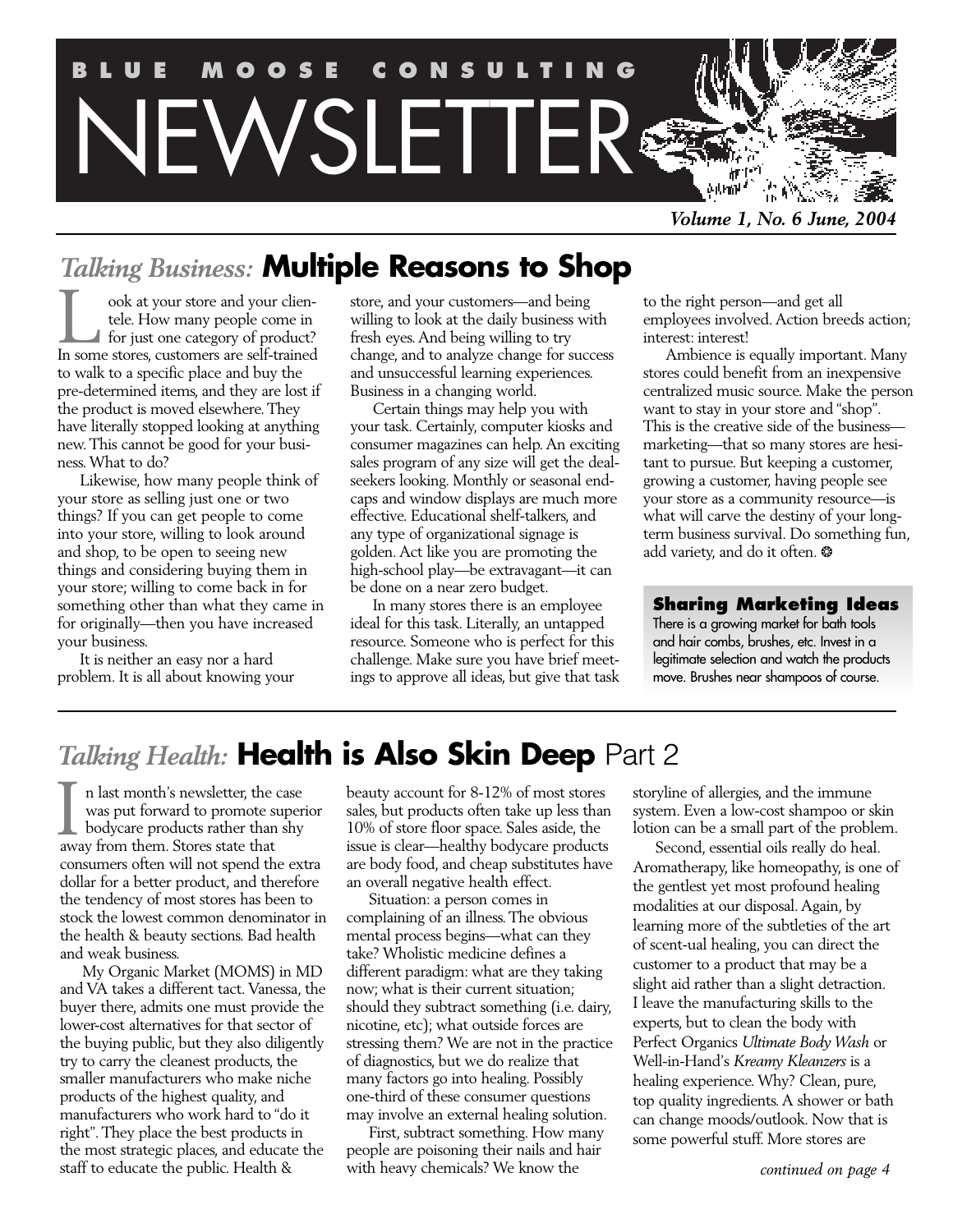

*Volume 1, No. 6 June, 2004*

# *Talking Business: Multiple Reasons to Shop*

ook at your store and your clientele. How many people come in for just one category of product? In some store store and your clien-<br>tele. How many people come in<br>for just one category of product?<br>In some stores, customers are self-trained to walk to a specific place and buy the pre-determined items, and they are lost if the product is moved elsewhere. They have literally stopped looking at anything new. This cannot be good for your business. What to do?

Likewise, how many people think of your store as selling just one or two things? If you can get people to come into your store, willing to look around and shop, to be open to seeing new things and considering buying them in your store; willing to come back in for something other than what they came in for originally—then you have increased your business.

It is neither an easy nor a hard problem. It is all about knowing your store, and your customers—and being willing to look at the daily business with fresh eyes. And being willing to try change, and to analyze change for success and unsuccessful learning experiences. Business in a changing world.

Certain things may help you with your task. Certainly, computer kiosks and consumer magazines can help. An exciting sales program of any size will get the dealseekers looking. Monthly or seasonal endcaps and window displays are much more effective. Educational shelf-talkers, and any type of organizational signage is golden. Act like you are promoting the high-school play—be extravagant—it can be done on a near zero budget.

In many stores there is an employee ideal for this task. Literally, an untapped resource. Someone who is perfect for this challenge. Make sure you have brief meetings to approve all ideas, but give that task to the right person—and get all employees involved. Action breeds action; interest: interest!

Ambience is equally important. Many stores could benefit from an inexpensive centralized music source. Make the person want to stay in your store and "shop". This is the creative side of the business marketing—that so many stores are hesitant to pursue. But keeping a customer, growing a customer, having people see your store as a community resource—is what will carve the destiny of your longterm business survival. Do something fun, add variety, and do it often. \*

# **Sharing Marketing Ideas**

There is a growing market for bath tools and hair combs, brushes, etc. Invest in a legitimate selection and watch the products move. Brushes near shampoos of course.

# *Talking Health: Health is Also Skin Deep* Part 2

n last month's newsletter, the case was put forward to promote superior **bodycare products rather than shy** In last month's newsletter, the<br>was put forward to promote s<br>bodycare products rather than<br>away from them. Stores state that consumers often will not spend the extra dollar for a better product, and therefore the tendency of most stores has been to stock the lowest common denominator in the health & beauty sections. Bad health and weak business.

My Organic Market (MOMS) in MD and VA takes a different tact. Vanessa, the buyer there, admits one must provide the lower-cost alternatives for that sector of the buying public, but they also diligently try to carry the cleanest products, the smaller manufacturers who make niche products of the highest quality, and manufacturers who work hard to "do it right". They place the best products in the most strategic places, and educate the staff to educate the public. Health &

beauty account for 8-12% of most stores sales, but products often take up less than 10% of store floor space. Sales aside, the issue is clear—healthy bodycare products are body food, and cheap substitutes have an overall negative health effect.

Situation: a person comes in complaining of an illness. The obvious mental process begins—what can they take? Wholistic medicine defines a different paradigm: what are they taking now; what is their current situation; should they subtract something (i.e. dairy, nicotine, etc); what outside forces are stressing them? We are not in the practice of diagnostics, but we do realize that many factors go into healing. Possibly one-third of these consumer questions may involve an external healing solution.

First, subtract something. How many people are poisoning their nails and hair with heavy chemicals? We know the

storyline of allergies, and the immune system. Even a low-cost shampoo or skin lotion can be a small part of the problem.

Second, essential oils really do heal. Aromatherapy, like homeopathy, is one of the gentlest yet most profound healing modalities at our disposal. Again, by learning more of the subtleties of the art of scent-ual healing, you can direct the customer to a product that may be a slight aid rather than a slight detraction. I leave the manufacturing skills to the experts, but to clean the body with Perfect Organics *Ultimate Body Wash* or Well-in-Hand's *Kreamy Kleanzers* is a healing experience. Why? Clean, pure, top quality ingredients. A shower or bath can change moods/outlook. Now that is some powerful stuff. More stores are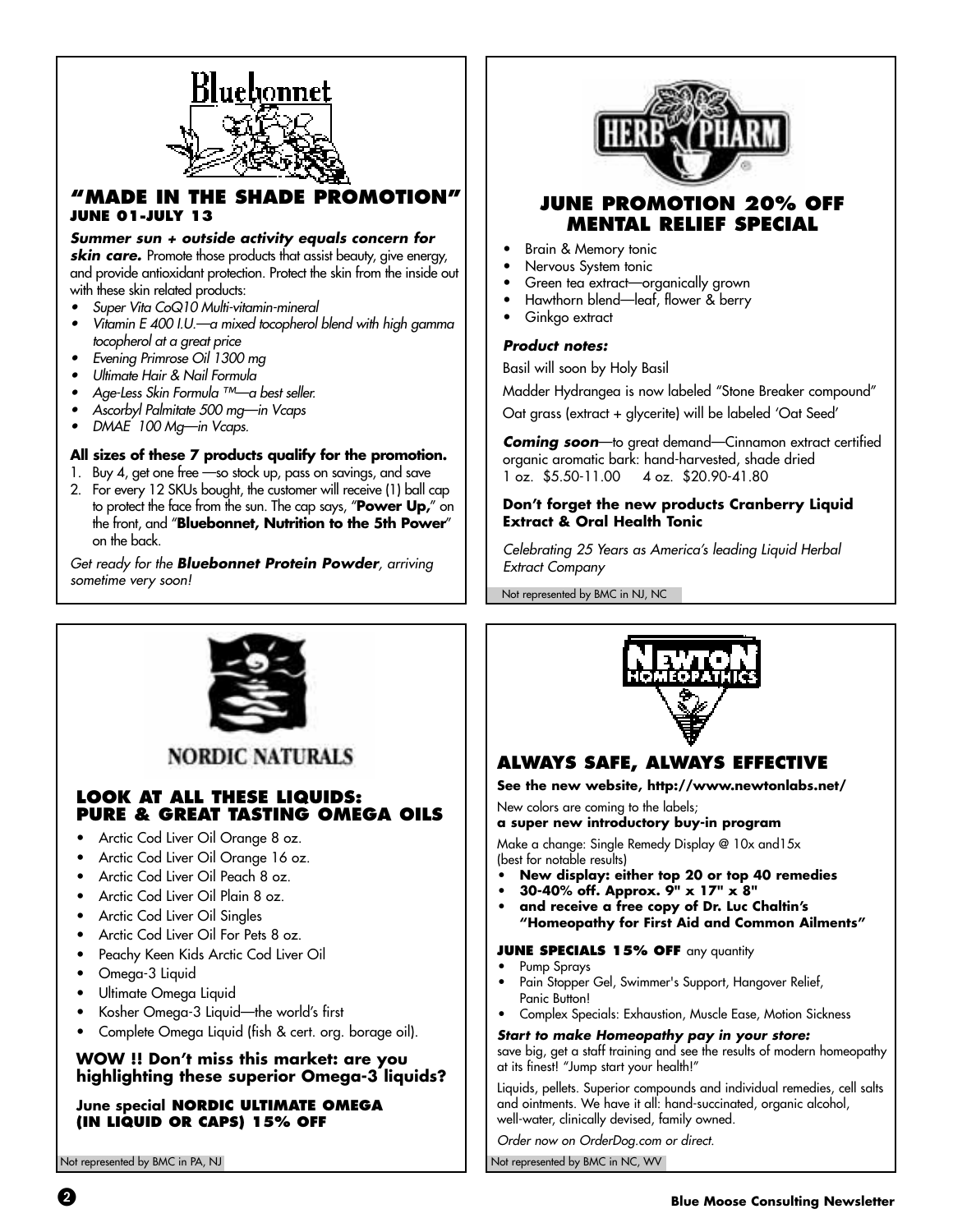

# **"MADE IN THE SHADE PROMOTION" JUNE 01-JULY 13**

## *Summer sun + outside activity equals concern for*

**skin care.** Promote those products that assist beauty, give energy, and provide antioxidant protection. Protect the skin from the inside out with these skin related products:

- Super Vita CoQ10 Multi-vitamin-mineral
- Vitamin E 400 I.U.—a mixed tocopherol blend with high gamma tocopherol at a great price
- Evening Primrose Oil 1300 mg
- Ultimate Hair & Nail Formula
- Age-Less Skin Formula ™—a best seller.
- Ascorbyl Palmitate 500 mg—in Vcaps
- DMAE 100 Mg—in Vcaps.

### *All sizes of these 7 products qualify for the promotion.*

- 1. Buy 4, get one free —so stock up, pass on savings, and save
- 2. For every 12 SKUs bought, the customer will receive (1) ball cap to protect the face from the sun. The cap says, "*Power Up,*" on the front, and "*Bluebonnet, Nutrition to the 5th Power*" on the back.

Get ready for the *Bluebonnet Protein Powder*, arriving sometime very soon!



# **JUNE PROMOTION 20% OFF MENTAL RELIEF SPECIAL**

- Brain & Memory tonic
- Nervous System tonic
- Green tea extract—organically grown
- Hawthorn blend—leaf, flower & berry
- Ginkgo extract

#### *Product notes:*

Basil will soon by Holy Basil

Madder Hydrangea is now labeled "Stone Breaker compound"

Oat grass (extract + glycerite) will be labeled 'Oat Seed'

*Coming soon*—to great demand—Cinnamon extract certified organic aromatic bark: hand-harvested, shade dried 1 oz. \$5.50-11.00 4 oz. \$20.90-41.80

### *Don't forget the new products Cranberry Liquid Extract & Oral Health Tonic*

Celebrating 25 Years as America's leading Liquid Herbal Extract Company

Not represented by BMC in NJ, NC



**NORDIC NATURALS** 

## **LOOK AT ALL THESE LIQUIDS: PURE & GREAT TASTING OMEGA OILS**

- Arctic Cod Liver Oil Orange 8 oz.
- Arctic Cod Liver Oil Orange 16 oz.
- Arctic Cod Liver Oil Peach 8 oz.
- Arctic Cod Liver Oil Plain 8 oz.
- Arctic Cod Liver Oil Singles
- Arctic Cod Liver Oil For Pets 8 oz.
- Peachy Keen Kids Arctic Cod Liver Oil
- Omega-3 Liquid
- Ultimate Omega Liquid
- Kosher Omega-3 Liquid—the world's first
- Complete Omega Liquid (fish & cert. org. borage oil).

## *WOW !! Don't miss this market: are you highlighting these superior Omega-3 liquids?*

*June special* **NORDIC ULTIMATE OMEGA (IN LIQUID OR CAPS) 15% OFF**



# **ALWAYS SAFE, ALWAYS EFFECTIVE**

*See the new website, http://www.newtonlabs.net/*

New colors are coming to the labels; *a super new introductory buy-in program*

Make a change: Single Remedy Display @ 10x and15x (best for notable results)

- *New display: either top 20 or top 40 remedies*
- *30-40% off. Approx. 9" x 17" x 8"*
- *and receive a free copy of Dr. Luc Chaltin's "Homeopathy for First Aid and Common Ailments"*

#### **JUNE SPECIALS 15% OFF** any quantity

- *•* Pump Sprays *•* Pain Stopper Gel, Swimmer's Support, Hangover Relief, Panic Button!
- *•* Complex Specials: Exhaustion, Muscle Ease, Motion Sickness

#### *Start to make Homeopathy pay in your store:*

save big, get a staff training and see the results of modern homeopathy at its finest! "Jump start your health!"

Liquids, pellets. Superior compounds and individual remedies, cell salts and ointments. We have it all: hand-succinated, organic alcohol, well-water, clinically devised, family owned.

Order now on OrderDog.com or direct.

Not represented by BMC in PA, NJ Not represented by BMC in NC, WV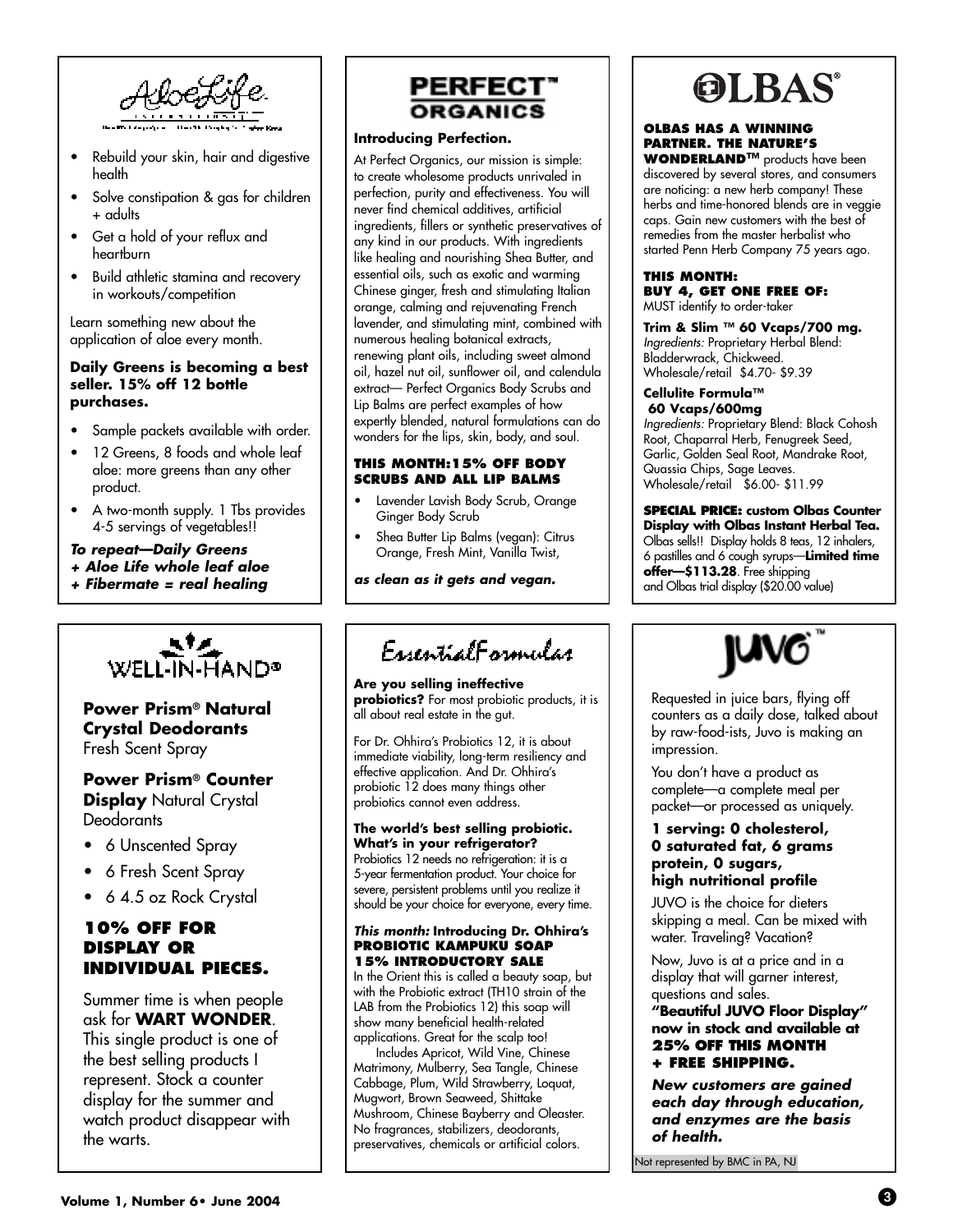

- Rebuild your skin, hair and digestive health
- Solve constipation & gas for children + adults
- Get a hold of your reflux and heartburn
- Build athletic stamina and recovery in workouts/competition

Learn something new about the application of aloe every month.

### *Daily Greens is becoming a best seller. 15% off 12 bottle purchases.*

- Sample packets available with order.
- 12 Greens, 8 foods and whole leaf aloe: more greens than any other product.
- A two-month supply. 1 Tbs provides 4-5 servings of vegetables!!

## *To repeat—Daily Greens*

- *+ Aloe Life whole leaf aloe*
- *+ Fibermate = real healing*



# *Power Prism® Natural Crystal Deodorants* Fresh Scent Spray

## *Power Prism® Counter* **Display** Natural Crystal **Deodorants**

- 6 Unscented Spray
- 6 Fresh Scent Spray
- 6 4.5 oz Rock Crystal

# **10% OFF FOR DISPLAY OR INDIVIDUAL PIECES.**

Summer time is when people ask for *WART WONDER*. This single product is one of the best selling products I represent. Stock a counter display for the summer and watch product disappear with the warts.



### *Introducing Perfection.*

At Perfect Organics, our mission is simple: to create wholesome products unrivaled in perfection, purity and effectiveness. You will never find chemical additives, artificial ingredients, fillers or synthetic preservatives of any kind in our products. With ingredients like healing and nourishing Shea Butter, and essential oils, such as exotic and warming Chinese ginger, fresh and stimulating Italian orange, calming and rejuvenating French lavender, and stimulating mint, combined with numerous healing botanical extracts, renewing plant oils, including sweet almond oil, hazel nut oil, sunflower oil, and calendula extract— Perfect Organics Body Scrubs and Lip Balms are perfect examples of how expertly blended, natural formulations can do wonders for the lips, skin, body, and soul.

## **THIS MONTH:15% OFF BODY SCRUBS AND ALL LIP BALMS**

- Lavender Lavish Body Scrub, Orange Ginger Body Scrub
- Shea Butter Lip Balms (vegan): Citrus Orange, Fresh Mint, Vanilla Twist,

*as clean as it gets and vegan.*

# EssentialEgranular

*Are you selling ineffective probiotics?* For most probiotic products, it is all about real estate in the gut.

For Dr. Ohhira's Probiotics 12, it is about immediate viability, long-term resiliency and effective application. And Dr. Ohhira's probiotic 12 does many things other probiotics cannot even address.

#### *The world's best selling probiotic. What's in your refrigerator?*

Probiotics 12 needs no refrigeration: it is a 5-year fermentation product. Your choice for severe, persistent problems until you realize it should be your choice for everyone, every time.

#### *This month: Introducing Dr. Ohhira's*  **PROBIOTIC KAMPUKU SOAP 15% INTRODUCTORY SALE**

In the Orient this is called a beauty soap, but with the Probiotic extract (TH10 strain of the LAB from the Probiotics 12) this soap will show many beneficial health-related applications. Great for the scalp too!

Includes Apricot, Wild Vine, Chinese Matrimony, Mulberry, Sea Tangle, Chinese Cabbage, Plum, Wild Strawberry, Loquat, Mugwort, Brown Seaweed, Shittake Mushroom, Chinese Bayberry and Oleaster. No fragrances, stabilizers, deodorants, preservatives, chemicals or artificial colors.



## **OLBAS HAS A WINNING PARTNER. THE NATURE'S**

**WONDERLAND™** products have been discovered by several stores, and consumers are noticing: a new herb company! These herbs and time-honored blends are in veggie caps. Gain new customers with the best of remedies from the master herbalist who started Penn Herb Company 75 years ago.

## **THIS MONTH: BUY 4, GET ONE FREE OF:**

MUST identify to order-taker

*Trim & Slim ™ 60 Vcaps/700 mg.*  Ingredients: Proprietary Herbal Blend: Bladderwrack, Chickweed. Wholesale/retail \$4.70- \$9.39

#### *Cellulite Formula™ 60 Vcaps/600mg*

Ingredients: Proprietary Blend: Black Cohosh Root, Chaparral Herb, Fenugreek Seed, Garlic, Golden Seal Root, Mandrake Root, Quassia Chips, Sage Leaves. Wholesale/retail \$6.00- \$11.99

**SPECIAL PRICE:** *custom Olbas Counter Display with Olbas Instant Herbal Tea.* Olbas sells!! Display holds 8 teas, 12 inhalers, 6 pastilles and 6 cough syrups—*Limited time offer—\$113.28*. Free shipping and Olbas trial display (\$20.00 value)



Requested in juice bars, flying off counters as a daily dose, talked about by raw-food-ists, Juvo is making an impression.

You don't have a product as complete—a complete meal per packet—or processed as uniquely.

### *1 serving: 0 cholesterol, 0 saturated fat, 6 grams protein, 0 sugars, high nutritional profile*

JUVO is the choice for dieters skipping a meal. Can be mixed with water. Traveling? Vacation?

Now, Juvo is at a price and in a display that will garner interest, questions and sales.

*"Beautiful JUVO Floor Display" now in stock and available at* **25% OFF THIS MONTH + FREE SHIPPING.**

*New customers are gained each day through education, and enzymes are the basis of health.*

Not represented by BMC in PA, NJ